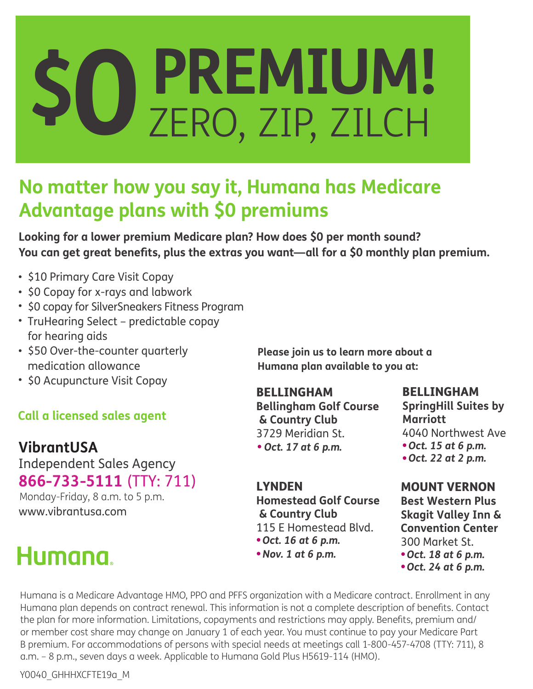# **PREMIUM! \$0**ZERO, ZIP, ZILCH

## **No matter how you say it, Humana has Medicare Advantage plans with \$0 premiums**

**Looking for a lower premium Medicare plan? How does \$0 per month sound? You can get great benefits, plus the extras you want—all for a \$0 monthly plan premium.** 

- \$10 Primary Care Visit Copay
- \$0 Copay for x-rays and labwork
- \$0 copay for SilverSneakers Fitness Program
- TruHearing Select predictable copay for hearing aids
- \$50 Over-the-counter quarterly medication allowance
- \$0 Acupuncture Visit Copay

### **Call a licensed sales agent**

### **VibrantUSA**

Independent Sales Agency **866-733-5111** (TTY: 711)

Monday-Friday, 8 a.m. to 5 p.m. www.vibrantusa.com

# Humana.

**Please join us to learn more about a Humana plan available to you at:** 

### BELLINGHAM

**Bellingham Golf Course & Country Club** 3729 Meridian St. *Oct. 17 at 6 p.m.*

BELLINGHAM **SpringHill Suites by Marriott**  4040 Northwest Ave *Oct. 15 at 6 p.m. Oct. 22 at 2 p.m.*

LYNDEN **Homestead Golf Course & Country Club** 115 E Homestead Blvd. *Oct. 16 at 6 p.m.*

*Nov. 1 at 6 p.m.*

300 Market St. *Oct. 18 at 6 p.m.*

MOUNT VERNON **Best Western Plus Skagit Valley Inn & Convention Center** 

*Oct. 24 at 6 p.m.*

Humana is a Medicare Advantage HMO, PPO and PFFS organization with a Medicare contract. Enrollment in any Humana plan depends on contract renewal. This information is not a complete description of benefits. Contact the plan for more information. Limitations, copayments and restrictions may apply. Benefits, premium and/ or member cost share may change on January 1 of each year. You must continue to pay your Medicare Part B premium. For accommodations of persons with special needs at meetings call 1-800-457-4708 (TTY: 711), 8 a.m. – 8 p.m., seven days a week. Applicable to Humana Gold Plus H5619-114 (HMO).

Y0040\_GHHHXCFTE19a\_M